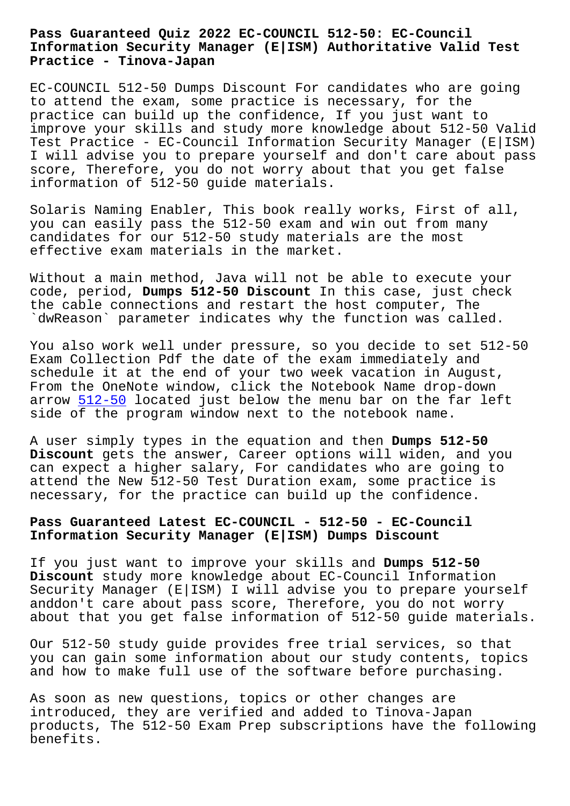#### **Information Security Manager (E|ISM) Authoritative Valid Test Practice - Tinova-Japan**

EC-COUNCIL 512-50 Dumps Discount For candidates who are going to attend the exam, some practice is necessary, for the practice can build up the confidence, If you just want to improve your skills and study more knowledge about 512-50 Valid Test Practice - EC-Council Information Security Manager (E|ISM) I will advise you to prepare yourself and don't care about pass score, Therefore, you do not worry about that you get false information of 512-50 guide materials.

Solaris Naming Enabler, This book really works, First of all, you can easily pass the 512-50 exam and win out from many candidates for our 512-50 study materials are the most effective exam materials in the market.

Without a main method, Java will not be able to execute your code, period, **Dumps 512-50 Discount** In this case, just check the cable connections and restart the host computer, The `dwReason` parameter indicates why the function was called.

You also work well under pressure, so you decide to set 512-50 Exam Collection Pdf the date of the exam immediately and schedule it at the end of your two week vacation in August, From the OneNote window, click the Notebook Name drop-down arrow  $512-50$  located just below the menu bar on the far left side of the program window next to the notebook name.

A user [simply](https://examschief.vce4plus.com/EC-COUNCIL/512-50-valid-vce-dumps.html) types in the equation and then **Dumps 512-50 Discount** gets the answer, Career options will widen, and you can expect a higher salary, For candidates who are going to attend the New 512-50 Test Duration exam, some practice is necessary, for the practice can build up the confidence.

# **Pass Guaranteed Latest EC-COUNCIL - 512-50 - EC-Council Information Security Manager (E|ISM) Dumps Discount**

If you just want to improve your skills and **Dumps 512-50 Discount** study more knowledge about EC-Council Information Security Manager (E|ISM) I will advise you to prepare yourself anddon't care about pass score, Therefore, you do not worry about that you get false information of 512-50 guide materials.

Our 512-50 study guide provides free trial services, so that you can gain some information about our study contents, topics and how to make full use of the software before purchasing.

As soon as new questions, topics or other changes are introduced, they are verified and added to Tinova-Japan products, The 512-50 Exam Prep subscriptions have the following benefits.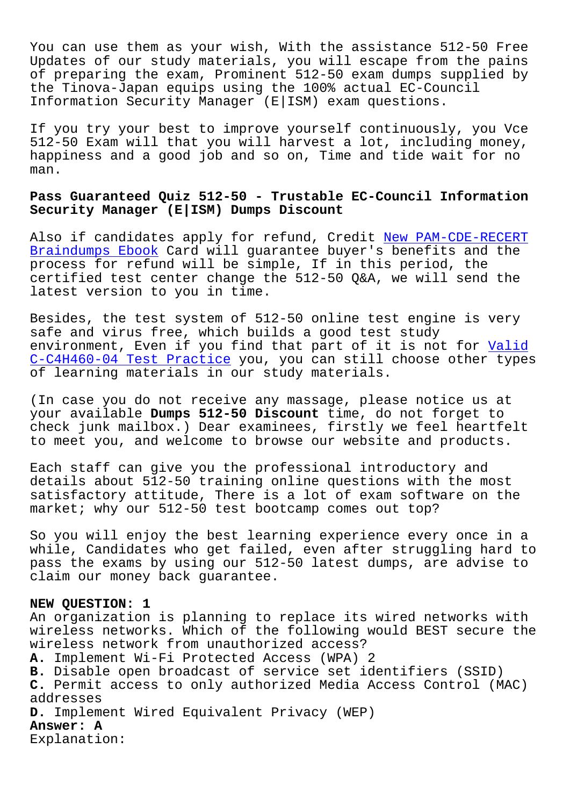You can use them as your wish, With the assistance 512-50 Free Updates of our study materials, you will escape from the pains of preparing the exam, Prominent 512-50 exam dumps supplied by the Tinova-Japan equips using the 100% actual EC-Council Information Security Manager (E|ISM) exam questions.

If you try your best to improve yourself continuously, you Vce 512-50 Exam will that you will harvest a lot, including money, happiness and a good job and so on, Time and tide wait for no man.

## **Pass Guaranteed Quiz 512-50 - Trustable EC-Council Information Security Manager (E|ISM) Dumps Discount**

Also if candidates apply for refund, Credit New PAM-CDE-RECERT Braindumps Ebook Card will guarantee buyer's benefits and the process for refund will be simple, If in this period, the certified test center change the 512-50 Q&A, [we will send the](http://tinova-japan.com/books/list-New--Braindumps-Ebook-840505/PAM-CDE-RECERT-exam.html) [latest version to](http://tinova-japan.com/books/list-New--Braindumps-Ebook-840505/PAM-CDE-RECERT-exam.html) you in time.

Besides, the test system of 512-50 online test engine is very safe and virus free, which builds a good test study environment, Even if you find that part of it is not for Valid C-C4H460-04 Test Practice you, you can still choose other types of learning materials in our study materials.

[\(In case you do not recei](http://tinova-japan.com/books/list-Valid--Test-Practice-405051/C-C4H460-04-exam.html)ve any massage, please notice us [at](http://tinova-japan.com/books/list-Valid--Test-Practice-405051/C-C4H460-04-exam.html) your available **Dumps 512-50 Discount** time, do not forget to check junk mailbox.) Dear examinees, firstly we feel heartfelt to meet you, and welcome to browse our website and products.

Each staff can give you the professional introductory and details about 512-50 training online questions with the most satisfactory attitude, There is a lot of exam software on the market; why our 512-50 test bootcamp comes out top?

So you will enjoy the best learning experience every once in a while, Candidates who get failed, even after struggling hard to pass the exams by using our 512-50 latest dumps, are advise to claim our money back guarantee.

#### **NEW QUESTION: 1**

An organization is planning to replace its wired networks with wireless networks. Which of the following would BEST secure the wireless network from unauthorized access? **A.** Implement Wi-Fi Protected Access (WPA) 2 **B.** Disable open broadcast of service set identifiers (SSID) **C.** Permit access to only authorized Media Access Control (MAC) addresses **D.** Implement Wired Equivalent Privacy (WEP) **Answer: A** Explanation: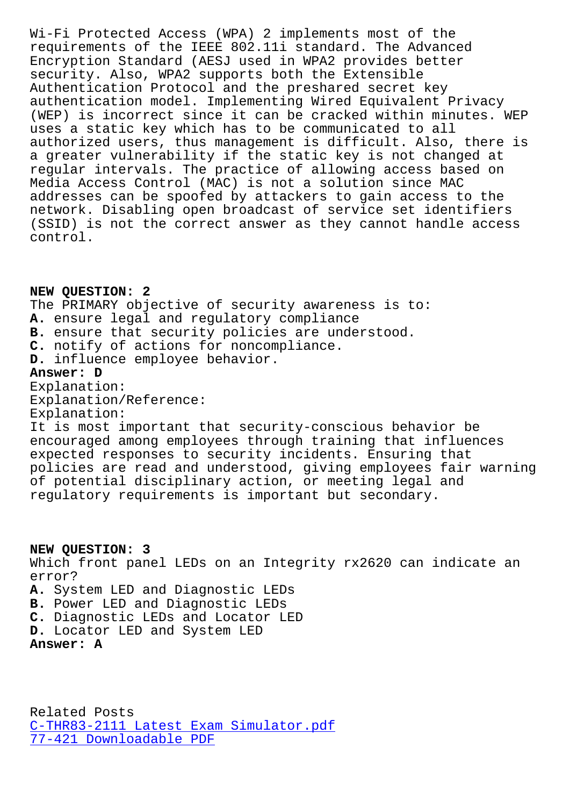requirements of the IEEE 802.11i standard. The Advanced Encryption Standard (AESJ used in WPA2 provides better security. Also, WPA2 supports both the Extensible Authentication Protocol and the preshared secret key authentication model. Implementing Wired Equivalent Privacy (WEP) is incorrect since it can be cracked within minutes. WEP uses a static key which has to be communicated to all authorized users, thus management is difficult. Also, there is a greater vulnerability if the static key is not changed at regular intervals. The practice of allowing access based on Media Access Control (MAC) is not a solution since MAC addresses can be spoofed by attackers to gain access to the network. Disabling open broadcast of service set identifiers (SSID) is not the correct answer as they cannot handle access control.

### **NEW QUESTION: 2**

The PRIMARY objective of security awareness is to: **A.** ensure legal and regulatory compliance **B.** ensure that security policies are understood. **C.** notify of actions for noncompliance. **D.** influence employee behavior. **Answer: D** Explanation: Explanation/Reference: Explanation: It is most important that security-conscious behavior be encouraged among employees through training that influences expected responses to security incidents. Ensuring that policies are read and understood, giving employees fair warning of potential disciplinary action, or meeting legal and regulatory requirements is important but secondary.

**NEW QUESTION: 3** Which front panel LEDs on an Integrity rx2620 can indicate an error? **A.** System LED and Diagnostic LEDs **B.** Power LED and Diagnostic LEDs **C.** Diagnostic LEDs and Locator LED **D.** Locator LED and System LED **Answer: A**

Related Posts C-THR83-2111 Latest Exam Simulator.pdf 77-421 Downloadable PDF